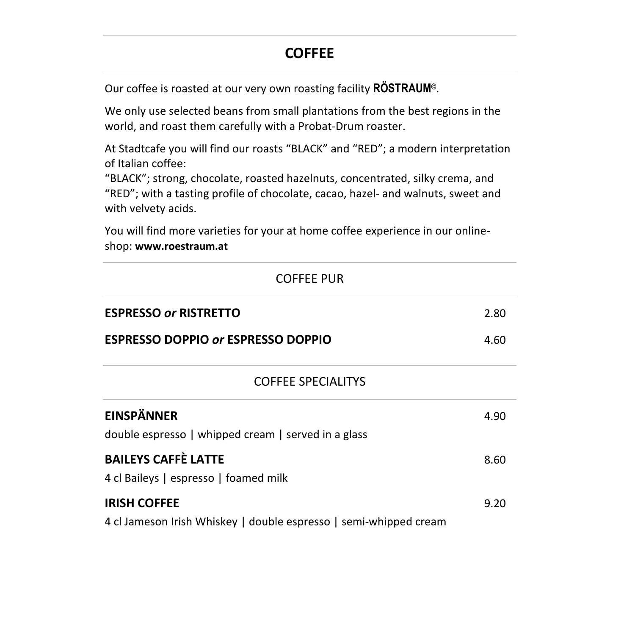# **COFFEE**

Our coffee is roasted at our very own roasting facility **RÖSTRAUM©**.

We only use selected beans from small plantations from the best regions in the world, and roast them carefully with a Probat-Drum roaster.

At Stadtcafe you will find our roasts "BLACK" and "RED"; a modern interpretation of Italian coffee:

"BLACK"; strong, chocolate, roasted hazelnuts, concentrated, silky crema, and "RED"; with a tasting profile of chocolate, cacao, hazel- and walnuts, sweet and with velvety acids.

You will find more varieties for your at home coffee experience in our onlineshop: **www.roestraum.at**

| <b>COFFEE PUR</b>                                                                        |      |  |
|------------------------------------------------------------------------------------------|------|--|
| <b>ESPRESSO or RISTRETTO</b>                                                             | 2.80 |  |
| <b>ESPRESSO DOPPIO or ESPRESSO DOPPIO</b>                                                |      |  |
| <b>COFFEE SPECIALITYS</b>                                                                |      |  |
| <b>EINSPÄNNER</b><br>double espresso   whipped cream   served in a glass                 | 4.90 |  |
| <b>BAILEYS CAFFÈ LATTE</b><br>4 cl Baileys   espresso   foamed milk                      | 8.60 |  |
| <b>IRISH COFFEE</b><br>4 cl Jameson Irish Whiskey   double espresso   semi-whipped cream | 9.20 |  |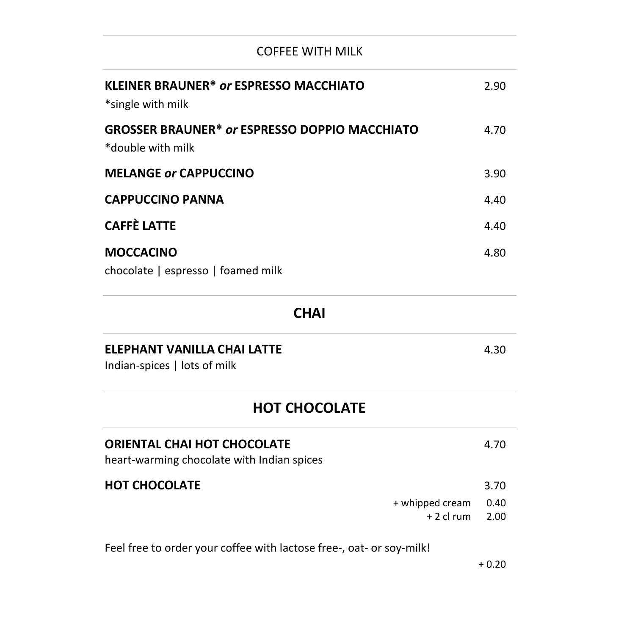### COFFEE WITH MILK

| <b>KLEINER BRAUNER* or ESPRESSO MACCHIATO</b><br>*single with milk        | 2.90 |
|---------------------------------------------------------------------------|------|
| <b>GROSSER BRAUNER* or ESPRESSO DOPPIO MACCHIATO</b><br>*double with milk | 4.70 |
| <b>MELANGE or CAPPUCCINO</b>                                              | 3.90 |
| <b>CAPPUCCINO PANNA</b>                                                   | 4.40 |
| <b>CAFFÈ LATTE</b>                                                        | 4.40 |
| <b>MOCCACINO</b>                                                          | 4.80 |
| chocolate   espresso   foamed milk                                        |      |

### **CHAI**

### **ELEPHANT VANILLA CHAI LATTE** 4.30

Indian-spices | lots of milk

### **HOT CHOCOLATE**

| ORIENTAL CHAI HOT CHOCOLATE<br>heart-warming chocolate with Indian spices |                                        | 4.70 |
|---------------------------------------------------------------------------|----------------------------------------|------|
| HOT CHOCOLATE                                                             |                                        | 3.70 |
|                                                                           | + whipped cream<br>$+2$ cl rum $-2.00$ | 0.40 |

Feel free to order your coffee with lactose free-, oat- or soy-milk!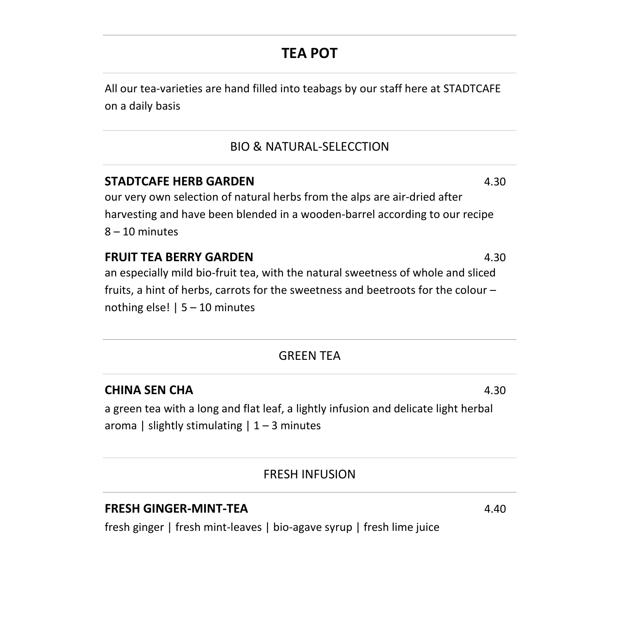# **TEA POT**

All our tea-varieties are hand filled into teabags by our staff here at STADTCAFE on a daily basis

#### BIO & NATURAL-SELECCTION

### **STADTCAFE HERB GARDEN** 4.30

our very own selection of natural herbs from the alps are air-dried after harvesting and have been blended in a wooden-barrel according to our recipe 8 – 10 minutes

#### **FRUIT TEA BERRY GARDEN** 4.30

an especially mild bio-fruit tea, with the natural sweetness of whole and sliced fruits, a hint of herbs, carrots for the sweetness and beetroots for the colour – nothing else! | 5 – 10 minutes

#### GREEN TEA

#### **CHINA SEN CHA** 4.30

a green tea with a long and flat leaf, a lightly infusion and delicate light herbal aroma | slightly stimulating  $| 1 - 3$  minutes

#### FRESH INFUSION

#### **FRESH GINGER-MINT-TEA** 4.40

fresh ginger | fresh mint-leaves | bio-agave syrup | fresh lime juice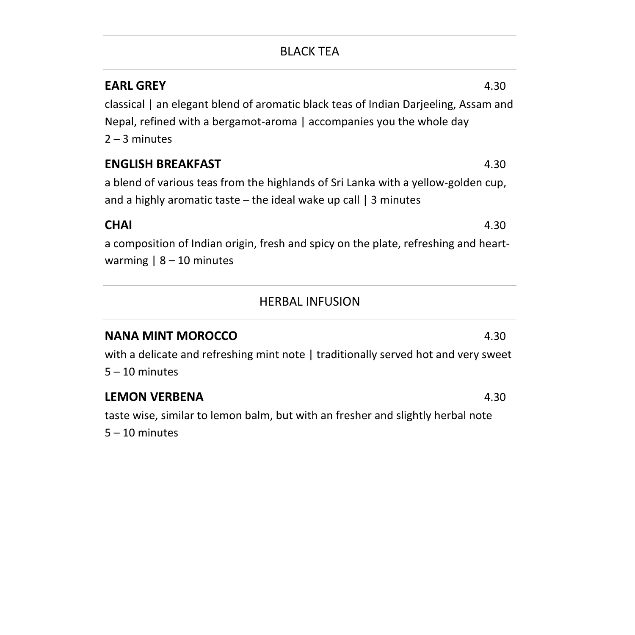### BLACK TEA

| <b>EARL GREY</b><br>classical   an elegant blend of aromatic black teas of Indian Darjeeling, Assam and<br>Nepal, refined with a bergamot-aroma   accompanies you the whole day<br>$2 - 3$ minutes | 4.30 |
|----------------------------------------------------------------------------------------------------------------------------------------------------------------------------------------------------|------|
| <b>ENGLISH BREAKFAST</b><br>a blend of various teas from the highlands of Sri Lanka with a yellow-golden cup,<br>and a highly aromatic taste – the ideal wake up call $\vert$ 3 minutes            | 4.30 |
| <b>CHAI</b><br>a composition of Indian origin, fresh and spicy on the plate, refreshing and heart-<br>warming $ 8 - 10$ minutes                                                                    | 4.30 |

### HERBAL INFUSION

### **NANA MINT MOROCCO** 4.30

with a delicate and refreshing mint note | traditionally served hot and very sweet  $5 - 10$  minutes

#### **LEMON VERBENA** 4.30

taste wise, similar to lemon balm, but with an fresher and slightly herbal note 5 – 10 minutes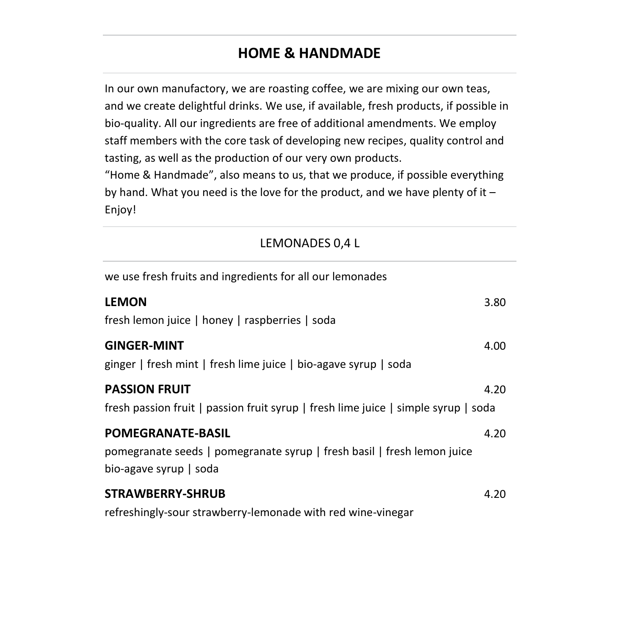# **HOME & HANDMADE**

In our own manufactory, we are roasting coffee, we are mixing our own teas, and we create delightful drinks. We use, if available, fresh products, if possible in bio-quality. All our ingredients are free of additional amendments. We employ staff members with the core task of developing new recipes, quality control and tasting, as well as the production of our very own products.

"Home & Handmade", also means to us, that we produce, if possible everything by hand. What you need is the love for the product, and we have plenty of it – Enjoy!

| we use fresh fruits and ingredients for all our lemonades                                                                     |      |
|-------------------------------------------------------------------------------------------------------------------------------|------|
| <b>LEMON</b><br>fresh lemon juice   honey   raspberries   soda                                                                | 3.80 |
| <b>GINGER-MINT</b><br>ginger   fresh mint   fresh lime juice   bio-agave syrup   soda                                         | 4.00 |
| <b>PASSION FRUIT</b><br>fresh passion fruit   passion fruit syrup   fresh lime juice   simple syrup   soda                    | 4.20 |
| <b>POMEGRANATE-BASIL</b><br>pomegranate seeds   pomegranate syrup   fresh basil   fresh lemon juice<br>bio-agave syrup   soda | 4.20 |
| <b>STRAWBERRY-SHRUB</b><br>refreshingly-sour strawberry-lemonade with red wine-vinegar                                        | 4.20 |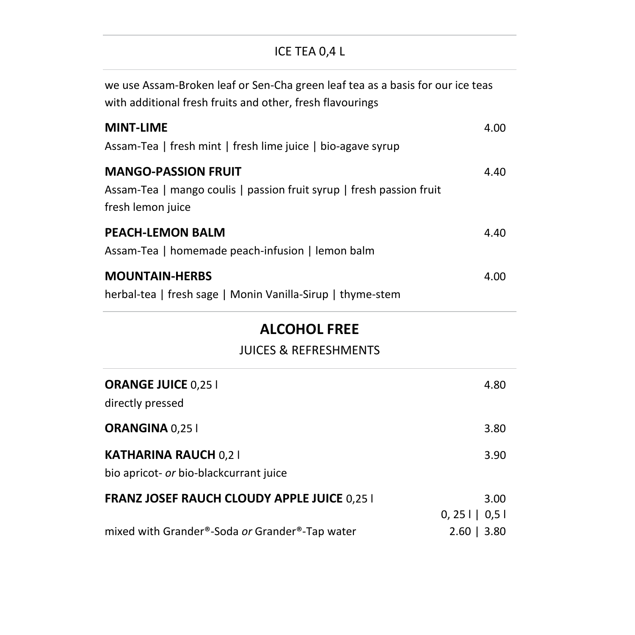### ICE TEA 0,4 L

| we use Assam-Broken leaf or Sen-Cha green leaf tea as a basis for our ice teas<br>with additional fresh fruits and other, fresh flavourings |      |
|---------------------------------------------------------------------------------------------------------------------------------------------|------|
| <b>MINT-LIME</b><br>Assam-Tea   fresh mint   fresh lime juice   bio-agave syrup                                                             | 4.00 |
| <b>MANGO-PASSION FRUIT</b><br>Assam-Tea   mango coulis   passion fruit syrup   fresh passion fruit<br>fresh lemon juice                     | 4.40 |
| <b>PEACH-LEMON BALM</b><br>Assam-Tea   homemade peach-infusion   lemon balm                                                                 | 4.40 |
| <b>MOUNTAIN-HERBS</b>                                                                                                                       | 4.00 |

herbal-tea | fresh sage | Monin Vanilla-Sirup | thyme-stem

# **ALCOHOL FREE**

### JUICES & REFRESHMENTS

| <b>ORANGE JUICE 0,25 I</b><br>directly pressed                        | 4.80                      |
|-----------------------------------------------------------------------|---------------------------|
| ORANGINA 0,25 I                                                       | 3.80                      |
| <b>KATHARINA RAUCH 0,21</b><br>bio apricot- or bio-blackcurrant juice | 3.90                      |
| <b>FRANZ JOSEF RAUCH CLOUDY APPLE JUICE 0,25 I</b>                    | 3.00<br>$0, 25$     $0.5$ |
| mixed with Grander®-Soda or Grander®-Tap water                        | $2.60$   3.80             |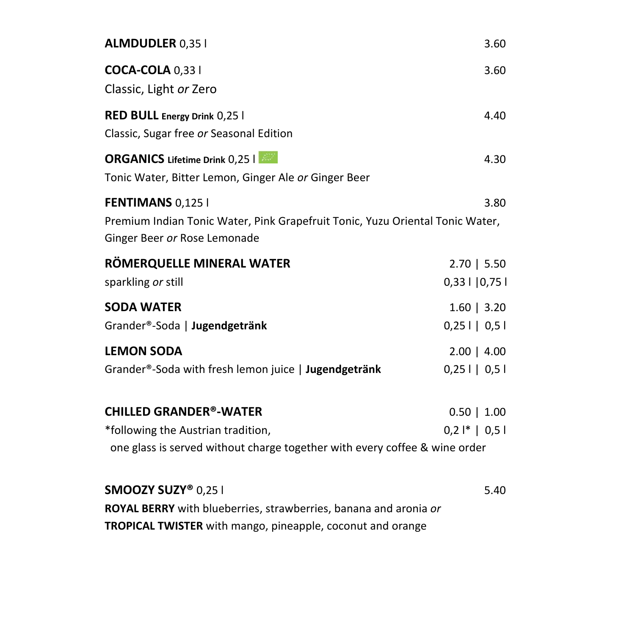| <b>ALMDUDLER 0,351</b>                                                                                                                                | 3.60                            |
|-------------------------------------------------------------------------------------------------------------------------------------------------------|---------------------------------|
| <b>COCA-COLA 0,331</b><br>Classic, Light or Zero                                                                                                      | 3.60                            |
| <b>RED BULL Energy Drink 0,25  </b><br>Classic, Sugar free or Seasonal Edition                                                                        | 4.40                            |
| <b>ORGANICS</b> Lifetime Drink 0,25  <br>Tonic Water, Bitter Lemon, Ginger Ale or Ginger Beer                                                         | 4.30                            |
| <b>FENTIMANS 0,1251</b><br>Premium Indian Tonic Water, Pink Grapefruit Tonic, Yuzu Oriental Tonic Water,<br>Ginger Beer or Rose Lemonade              | 3.80                            |
| RÖMERQUELLE MINERAL WATER<br>sparkling or still                                                                                                       | 2.70   5.50<br>$0,33$   $ 0,75$ |
| <b>SODA WATER</b><br>Grander®-Soda   Jugendgetränk                                                                                                    | $1.60$   3.20<br>$0,251$   0,51 |
| <b>LEMON SODA</b><br>Grander®-Soda with fresh lemon juice   Jugendgetränk                                                                             | $2.00$   4.00<br>$0,25$     0,5 |
| <b>CHILLED GRANDER®-WATER</b><br>*following the Austrian tradition,<br>one glass is served without charge together with every coffee & wine order     | $0.50$   1.00<br>$0,2$  *   0,5 |
| SMOOZY SUZY® 0,25 I<br>ROYAL BERRY with blueberries, strawberries, banana and aronia or<br>TROPICAL TWISTER with mango, pineapple, coconut and orange | 5.40                            |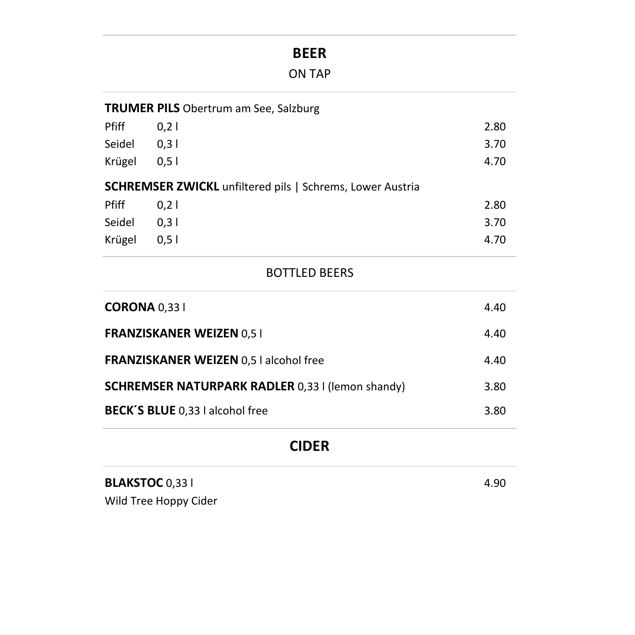# **BEER**

|              | <b>TRUMER PILS</b> Obertrum am See, Salzburg |                                                                  |      |
|--------------|----------------------------------------------|------------------------------------------------------------------|------|
| <b>Pfiff</b> | 0.21                                         |                                                                  | 2.80 |
| Seidel       | 0,31                                         |                                                                  | 3.70 |
| Krügel       | 0.51                                         |                                                                  | 4.70 |
|              |                                              | <b>SCHREMSER ZWICKL</b> unfiltered pils   Schrems, Lower Austria |      |
| Pfiff        | 0,21                                         |                                                                  | 2.80 |
| Seidel       | 0,31                                         |                                                                  | 3.70 |
| Krügel       | 0,51                                         |                                                                  | 4.70 |
|              |                                              |                                                                  |      |

### BOTTLED BEERS

| <b>CORONA</b> 0.33 l                                    | 4.40 |
|---------------------------------------------------------|------|
| <b>FRANZISKANER WEIZEN 0,51</b>                         | 4.40 |
| <b>FRANZISKANER WEIZEN 0,5   alcohol free</b>           | 4.40 |
| <b>SCHREMSER NATURPARK RADLER 0,33 I (lemon shandy)</b> | 3.80 |
| <b>BECK'S BLUE</b> 0,33 I alcohol free                  | 3.80 |

# **CIDER**

| <b>BLAKSTOC 0,331</b> | 4.90 |
|-----------------------|------|
|-----------------------|------|

Wild Tree Hoppy Cider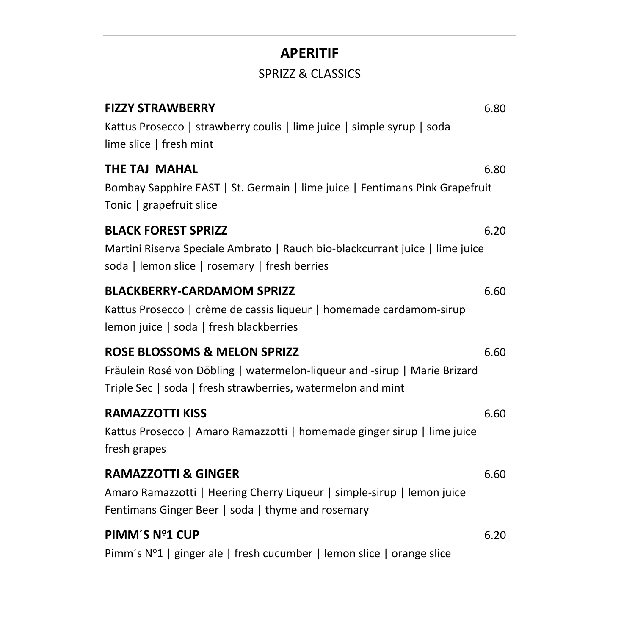## **APERITIF**

### SPRIZZ & CLASSICS

| <b>FIZZY STRAWBERRY</b><br>Kattus Prosecco   strawberry coulis   lime juice   simple syrup   soda<br>lime slice   fresh mint                                                        | 6.80 |
|-------------------------------------------------------------------------------------------------------------------------------------------------------------------------------------|------|
| THE TAJ MAHAL<br>Bombay Sapphire EAST   St. Germain   lime juice   Fentimans Pink Grapefruit<br>Tonic   grapefruit slice                                                            | 6.80 |
| <b>BLACK FOREST SPRIZZ</b><br>Martini Riserva Speciale Ambrato   Rauch bio-blackcurrant juice   lime juice<br>soda   lemon slice   rosemary   fresh berries                         | 6.20 |
| <b>BLACKBERRY-CARDAMOM SPRIZZ</b><br>Kattus Prosecco   crème de cassis liqueur   homemade cardamom-sirup<br>lemon juice   soda   fresh blackberries                                 | 6.60 |
| <b>ROSE BLOSSOMS &amp; MELON SPRIZZ</b><br>Fräulein Rosé von Döbling   watermelon-liqueur and -sirup   Marie Brizard<br>Triple Sec   soda   fresh strawberries, watermelon and mint | 6.60 |
| <b>RAMAZZOTTI KISS</b><br>Kattus Prosecco   Amaro Ramazzotti   homemade ginger sirup   lime juice<br>fresh grapes                                                                   | 6.60 |
| <b>RAMAZZOTTI &amp; GINGER</b><br>Amaro Ramazzotti   Heering Cherry Liqueur   simple-sirup   lemon juice<br>Fentimans Ginger Beer   soda   thyme and rosemary                       | 6.60 |
| PIMM'S Nº1 CUP<br>Pimm's N°1   ginger ale   fresh cucumber   lemon slice   orange slice                                                                                             | 6.20 |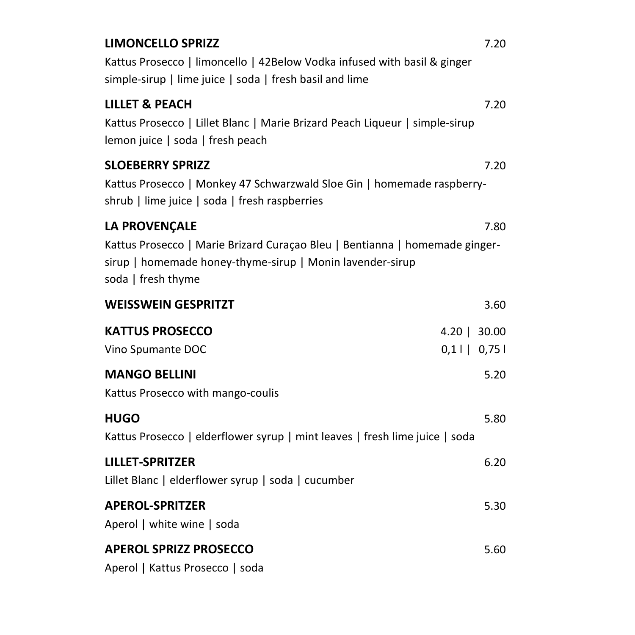| <b>LIMONCELLO SPRIZZ</b><br>Kattus Prosecco   limoncello   42Below Vodka infused with basil & ginger<br>simple-sirup   lime juice   soda   fresh basil and lime                        | 7.20                           |
|----------------------------------------------------------------------------------------------------------------------------------------------------------------------------------------|--------------------------------|
| <b>LILLET &amp; PEACH</b><br>Kattus Prosecco   Lillet Blanc   Marie Brizard Peach Liqueur   simple-sirup<br>lemon juice   soda   fresh peach                                           | 7.20                           |
| <b>SLOEBERRY SPRIZZ</b><br>Kattus Prosecco   Monkey 47 Schwarzwald Sloe Gin   homemade raspberry-<br>shrub   lime juice   soda   fresh raspberries                                     | 7.20                           |
| <b>LA PROVENÇALE</b><br>Kattus Prosecco   Marie Brizard Curaçao Bleu   Bentianna   homemade ginger-<br>sirup   homemade honey-thyme-sirup   Monin lavender-sirup<br>soda   fresh thyme | 7.80                           |
| <b>WEISSWEIN GESPRITZT</b>                                                                                                                                                             | 3.60                           |
| <b>KATTUS PROSECCO</b><br>Vino Spumante DOC                                                                                                                                            | $4.20$   30.00<br>$0,1$   0,75 |
| <b>MANGO BELLINI</b><br>Kattus Prosecco with mango-coulis                                                                                                                              | 5.20                           |
| <b>HUGO</b><br>Kattus Prosecco   elderflower syrup   mint leaves   fresh lime juice   soda                                                                                             | 5.80                           |
| <b>LILLET-SPRITZER</b><br>Lillet Blanc   elderflower syrup   soda   cucumber                                                                                                           | 6.20                           |
| <b>APEROL-SPRITZER</b><br>Aperol   white wine   soda                                                                                                                                   | 5.30                           |
| <b>APEROL SPRIZZ PROSECCO</b><br>Aperol   Kattus Prosecco   soda                                                                                                                       | 5.60                           |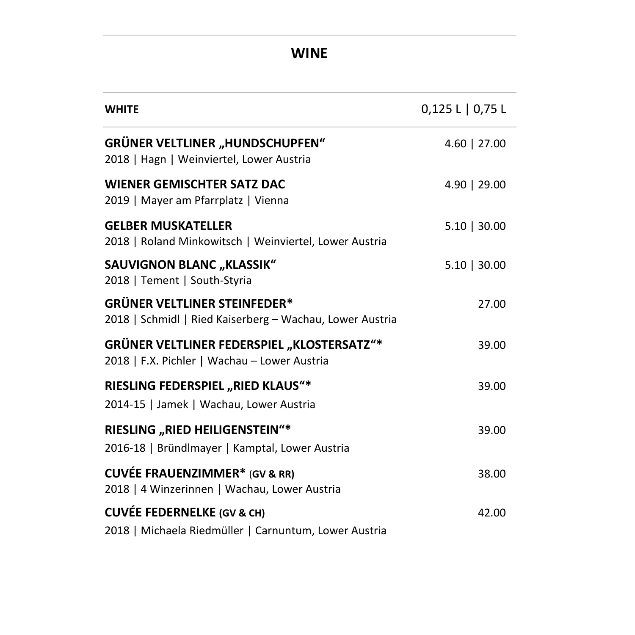# **WINE**

| <b>WHITE</b>                                                                                      | 0,125 L   0,75 L |
|---------------------------------------------------------------------------------------------------|------------------|
| <b>GRÜNER VELTLINER "HUNDSCHUPFEN"</b><br>2018   Hagn   Weinviertel, Lower Austria                | $4.60$   27.00   |
| <b>WIENER GEMISCHTER SATZ DAC</b><br>2019   Mayer am Pfarrplatz   Vienna                          | 4.90   29.00     |
| <b>GELBER MUSKATELLER</b><br>2018   Roland Minkowitsch   Weinviertel, Lower Austria               | $5.10$   30.00   |
| <b>SAUVIGNON BLANC "KLASSIK"</b><br>2018   Tement   South-Styria                                  | $5.10$   30.00   |
| <b>GRÜNER VELTLINER STEINFEDER*</b><br>2018   Schmidl   Ried Kaiserberg - Wachau, Lower Austria   | 27.00            |
| <b>GRÜNER VELTLINER FEDERSPIEL "KLOSTERSATZ"*</b><br>2018   F.X. Pichler   Wachau - Lower Austria | 39.00            |
| RIESLING FEDERSPIEL "RIED KLAUS"*<br>2014-15   Jamek   Wachau, Lower Austria                      | 39.00            |
| RIESLING "RIED HEILIGENSTEIN"*<br>2016-18   Bründlmayer   Kamptal, Lower Austria                  | 39.00            |
| <b>CUVÉE FRAUENZIMMER*</b> (GV & RR)<br>2018   4 Winzerinnen   Wachau, Lower Austria              | 38.00            |
| <b>CUVÉE FEDERNELKE (GV &amp; CH)</b><br>2018   Michaela Riedmüller   Carnuntum, Lower Austria    | 42.00            |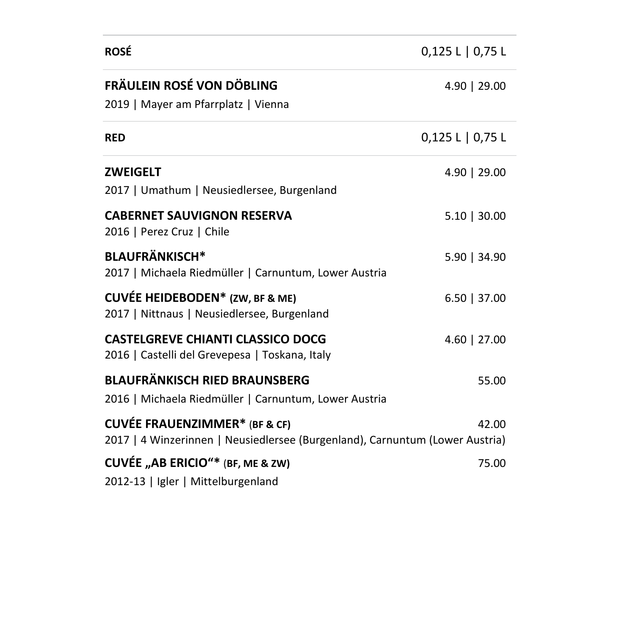| <b>ROSÉ</b>                                                                                                          | 0,125 L   0,75 L |
|----------------------------------------------------------------------------------------------------------------------|------------------|
| FRÄULEIN ROSÉ VON DÖBLING<br>2019   Mayer am Pfarrplatz   Vienna                                                     | 4.90   29.00     |
| <b>RED</b>                                                                                                           | 0,125 L   0,75 L |
| <b>ZWEIGELT</b><br>2017   Umathum   Neusiedlersee, Burgenland                                                        | 4.90   29.00     |
| <b>CABERNET SAUVIGNON RESERVA</b><br>2016   Perez Cruz   Chile                                                       | $5.10$   30.00   |
| <b>BLAUFRÄNKISCH*</b><br>2017   Michaela Riedmüller   Carnuntum, Lower Austria                                       | $5.90$   34.90   |
| <b>CUVÉE HEIDEBODEN*</b> (ZW, BF & ME)<br>2017   Nittnaus   Neusiedlersee, Burgenland                                | $6.50$   37.00   |
| <b>CASTELGREVE CHIANTI CLASSICO DOCG</b><br>2016   Castelli del Grevepesa   Toskana, Italy                           | 4.60   27.00     |
| <b>BLAUFRÄNKISCH RIED BRAUNSBERG</b><br>2016   Michaela Riedmüller   Carnuntum, Lower Austria                        | 55.00            |
| <b>CUVÉE FRAUENZIMMER*</b> (BF & CF)<br>2017   4 Winzerinnen   Neusiedlersee (Burgenland), Carnuntum (Lower Austria) | 42.00            |
| CUVÉE "AB ERICIO"* (BF, ME & ZW)<br>2012-13   Igler   Mittelburgenland                                               | 75.00            |

 $\overline{\phantom{a}}$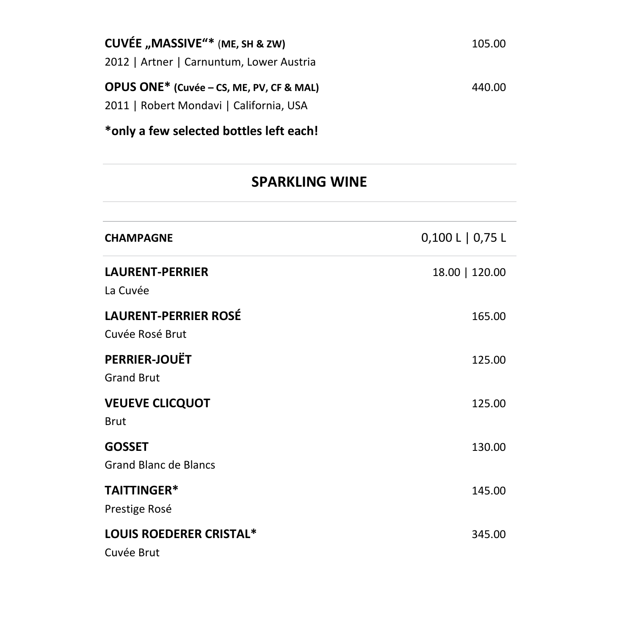| CUVÉE "MASSIVE"* (ME, SH & ZW)           | 105.00 |
|------------------------------------------|--------|
| 2012   Artner   Carnuntum, Lower Austria |        |
| OPUS ONE* (Cuvée - CS, ME, PV, CF & MAL) | 440.00 |
| 2011   Robert Mondavi   California, USA  |        |
|                                          |        |

**\*only a few selected bottles left each!**

# **SPARKLING WINE**

| <b>CHAMPAGNE</b>                               | $0,100 L$   0,75 L |
|------------------------------------------------|--------------------|
| <b>LAURENT-PERRIER</b><br>La Cuvée             | 18.00   120.00     |
| <b>LAURENT-PERRIER ROSÉ</b><br>Cuvée Rosé Brut | 165.00             |
| PERRIER-JOUËT<br><b>Grand Brut</b>             | 125.00             |
| <b>VEUEVE CLICQUOT</b><br><b>Brut</b>          | 125.00             |
| <b>GOSSET</b><br><b>Grand Blanc de Blancs</b>  | 130.00             |
| TAITTINGER*<br>Prestige Rosé                   | 145.00             |
| <b>LOUIS ROEDERER CRISTAL*</b><br>Cuvée Brut   | 345.00             |